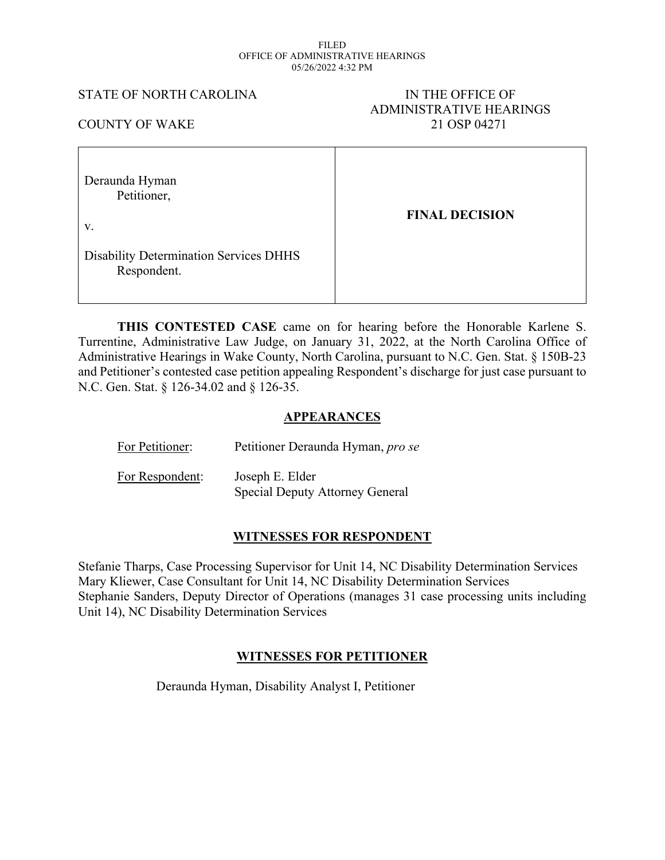#### FILED OFFICE OF ADMINISTRATIVE HEARINGS 05/26/2022 4:32 PM

#### STATE OF NORTH CAROLINA IN THE OFFICE OF

# ADMINISTRATIVE HEARINGS COUNTY OF WAKE 21 OSP 04271

| Deraunda Hyman<br>Petitioner,<br>V.                          | <b>FINAL DECISION</b> |
|--------------------------------------------------------------|-----------------------|
| <b>Disability Determination Services DHHS</b><br>Respondent. |                       |

**THIS CONTESTED CASE** came on for hearing before the Honorable Karlene S. Turrentine, Administrative Law Judge, on January 31, 2022, at the North Carolina Office of Administrative Hearings in Wake County, North Carolina, pursuant to N.C. Gen. Stat. § 150B-23 and Petitioner's contested case petition appealing Respondent's discharge for just case pursuant to N.C. Gen. Stat. § 126-34.02 and § 126-35.

# **APPEARANCES**

| For Petitioner: | Petitioner Deraunda Hyman, pro se                         |
|-----------------|-----------------------------------------------------------|
| For Respondent: | Joseph E. Elder<br><b>Special Deputy Attorney General</b> |

### **WITNESSES FOR RESPONDENT**

Stefanie Tharps, Case Processing Supervisor for Unit 14, NC Disability Determination Services Mary Kliewer, Case Consultant for Unit 14, NC Disability Determination Services Stephanie Sanders, Deputy Director of Operations (manages 31 case processing units including Unit 14), NC Disability Determination Services

# **WITNESSES FOR PETITIONER**

Deraunda Hyman, Disability Analyst I, Petitioner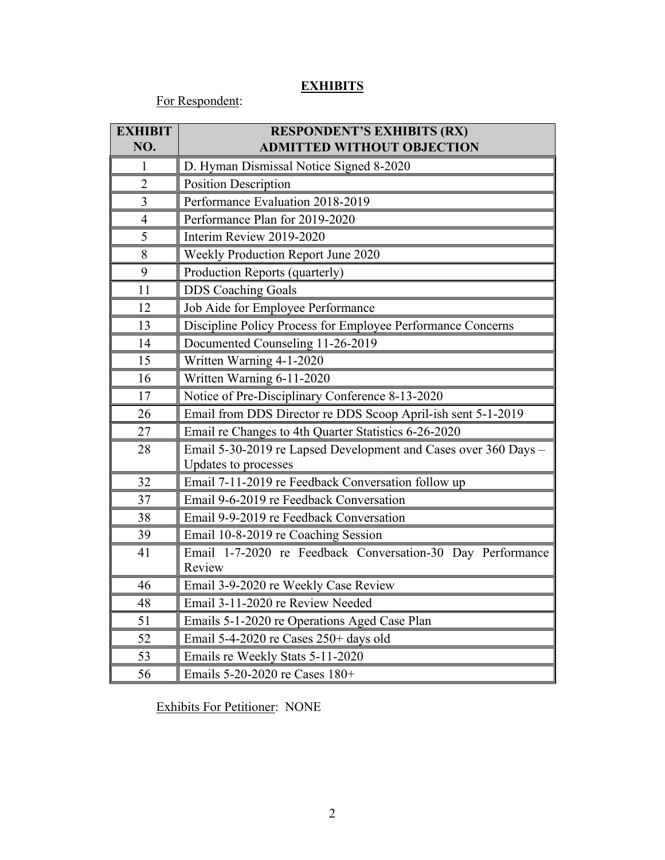# **EXHIBITS**

For Respondent:

| <b>EXHIBIT</b><br>NO. | <b>RESPONDENT'S EXHIBITS (RX)</b><br><b>ADMITTED WITHOUT OBJECTION</b>                  |
|-----------------------|-----------------------------------------------------------------------------------------|
| 1                     | D. Hyman Dismissal Notice Signed 8-2020                                                 |
| $\overline{2}$        | <b>Position Description</b>                                                             |
| 3                     | Performance Evaluation 2018-2019                                                        |
| $\overline{4}$        | Performance Plan for 2019-2020                                                          |
| 5                     | Interim Review 2019-2020                                                                |
| 8                     | Weekly Production Report June 2020                                                      |
| 9                     | Production Reports (quarterly)                                                          |
| 11                    | <b>DDS</b> Coaching Goals                                                               |
| 12                    | Job Aide for Employee Performance                                                       |
| 13                    | Discipline Policy Process for Employee Performance Concerns                             |
| 14                    | Documented Counseling 11-26-2019                                                        |
| 15                    | Written Warning 4-1-2020                                                                |
| 16                    | Written Warning 6-11-2020                                                               |
| 17                    | Notice of Pre-Disciplinary Conference 8-13-2020                                         |
| 26                    | Email from DDS Director re DDS Scoop April-ish sent 5-1-2019                            |
| 27                    | Email re Changes to 4th Quarter Statistics 6-26-2020                                    |
| 28                    | Email 5-30-2019 re Lapsed Development and Cases over 360 Days -<br>Updates to processes |
| 32                    | Email 7-11-2019 re Feedback Conversation follow up                                      |
| 37                    | Email 9-6-2019 re Feedback Conversation                                                 |
| 38                    | Email 9-9-2019 re Feedback Conversation                                                 |
| 39                    | Email 10-8-2019 re Coaching Session                                                     |
| 41                    | Email 1-7-2020 re Feedback Conversation-30 Day Performance<br>Review                    |
| 46                    | Email 3-9-2020 re Weekly Case Review                                                    |
| 48                    | Email 3-11-2020 re Review Needed                                                        |
| 51                    | Emails 5-1-2020 re Operations Aged Case Plan                                            |
| 52                    | Email 5-4-2020 re Cases 250+ days old                                                   |
| 53                    | Emails re Weekly Stats 5-11-2020                                                        |
| 56                    | Emails 5-20-2020 re Cases 180+                                                          |

Exhibits For Petitioner: NONE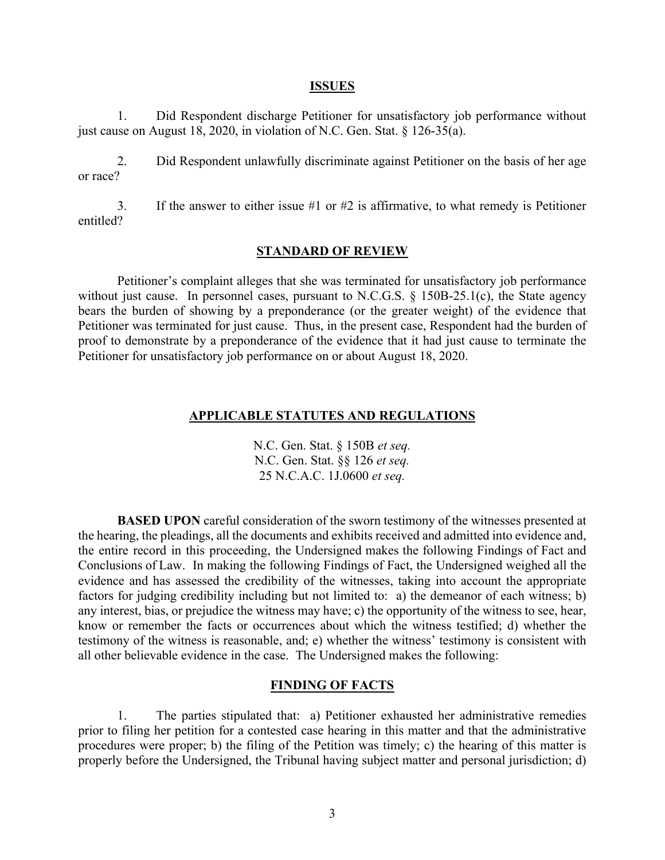#### **ISSUES**

1. Did Respondent discharge Petitioner for unsatisfactory job performance without just cause on August 18, 2020, in violation of N.C. Gen. Stat. § 126-35(a).

2. Did Respondent unlawfully discriminate against Petitioner on the basis of her age or race?

3. If the answer to either issue #1 or #2 is affirmative, to what remedy is Petitioner entitled?

# **STANDARD OF REVIEW**

Petitioner's complaint alleges that she was terminated for unsatisfactory job performance without just cause. In personnel cases, pursuant to N.C.G.S. § 150B-25.1(c), the State agency bears the burden of showing by a preponderance (or the greater weight) of the evidence that Petitioner was terminated for just cause. Thus, in the present case, Respondent had the burden of proof to demonstrate by a preponderance of the evidence that it had just cause to terminate the Petitioner for unsatisfactory job performance on or about August 18, 2020.

#### **APPLICABLE STATUTES AND REGULATIONS**

N.C. Gen. Stat. § 150B *et seq.* N.C. Gen. Stat. §§ 126 *et seq.* 25 N.C.A.C. 1J.0600 *et seq.*

**BASED UPON** careful consideration of the sworn testimony of the witnesses presented at the hearing, the pleadings, all the documents and exhibits received and admitted into evidence and, the entire record in this proceeding, the Undersigned makes the following Findings of Fact and Conclusions of Law. In making the following Findings of Fact, the Undersigned weighed all the evidence and has assessed the credibility of the witnesses, taking into account the appropriate factors for judging credibility including but not limited to: a) the demeanor of each witness; b) any interest, bias, or prejudice the witness may have; c) the opportunity of the witness to see, hear, know or remember the facts or occurrences about which the witness testified; d) whether the testimony of the witness is reasonable, and; e) whether the witness' testimony is consistent with all other believable evidence in the case. The Undersigned makes the following:

#### **FINDING OF FACTS**

1. The parties stipulated that: a) Petitioner exhausted her administrative remedies prior to filing her petition for a contested case hearing in this matter and that the administrative procedures were proper; b) the filing of the Petition was timely; c) the hearing of this matter is properly before the Undersigned, the Tribunal having subject matter and personal jurisdiction; d)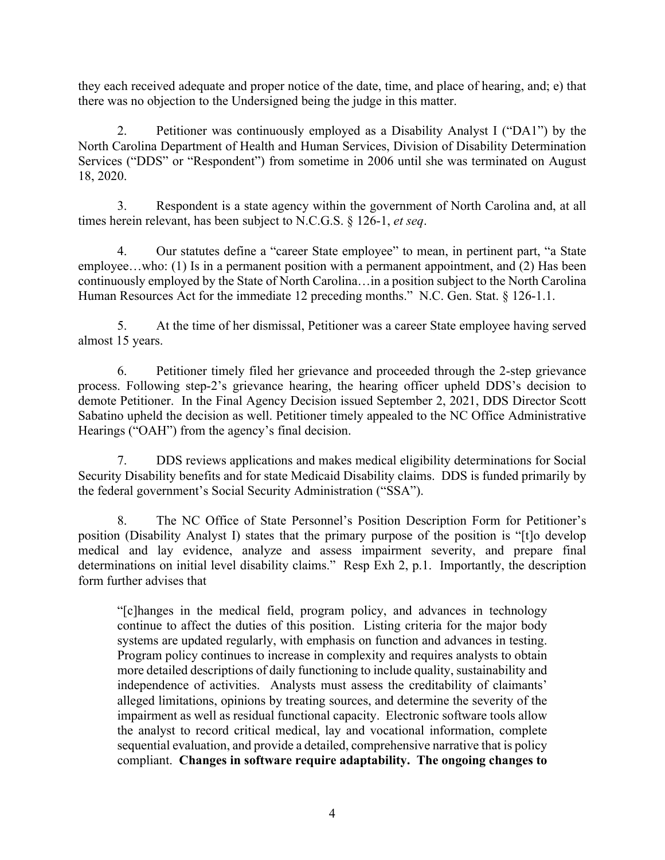they each received adequate and proper notice of the date, time, and place of hearing, and; e) that there was no objection to the Undersigned being the judge in this matter.

2. Petitioner was continuously employed as a Disability Analyst I ("DA1") by the North Carolina Department of Health and Human Services, Division of Disability Determination Services ("DDS" or "Respondent") from sometime in 2006 until she was terminated on August 18, 2020.

3. Respondent is a state agency within the government of North Carolina and, at all times herein relevant, has been subject to N.C.G.S. § 126-1, *et seq*.

4. Our statutes define a "career State employee" to mean, in pertinent part, "a State employee...who: (1) Is in a permanent position with a permanent appointment, and (2) Has been continuously employed by the State of North Carolina…in a position subject to the North Carolina Human Resources Act for the immediate 12 preceding months." N.C. Gen. Stat. § 126-1.1.

5. At the time of her dismissal, Petitioner was a career State employee having served almost 15 years.

6. Petitioner timely filed her grievance and proceeded through the 2-step grievance process. Following step-2's grievance hearing, the hearing officer upheld DDS's decision to demote Petitioner. In the Final Agency Decision issued September 2, 2021, DDS Director Scott Sabatino upheld the decision as well. Petitioner timely appealed to the NC Office Administrative Hearings ("OAH") from the agency's final decision.

7. DDS reviews applications and makes medical eligibility determinations for Social Security Disability benefits and for state Medicaid Disability claims. DDS is funded primarily by the federal government's Social Security Administration ("SSA").

8. The NC Office of State Personnel's Position Description Form for Petitioner's position (Disability Analyst I) states that the primary purpose of the position is "[t]o develop medical and lay evidence, analyze and assess impairment severity, and prepare final determinations on initial level disability claims." Resp Exh 2, p.1. Importantly, the description form further advises that

"[c]hanges in the medical field, program policy, and advances in technology continue to affect the duties of this position. Listing criteria for the major body systems are updated regularly, with emphasis on function and advances in testing. Program policy continues to increase in complexity and requires analysts to obtain more detailed descriptions of daily functioning to include quality, sustainability and independence of activities. Analysts must assess the creditability of claimants' alleged limitations, opinions by treating sources, and determine the severity of the impairment as well as residual functional capacity. Electronic software tools allow the analyst to record critical medical, lay and vocational information, complete sequential evaluation, and provide a detailed, comprehensive narrative that is policy compliant. **Changes in software require adaptability. The ongoing changes to**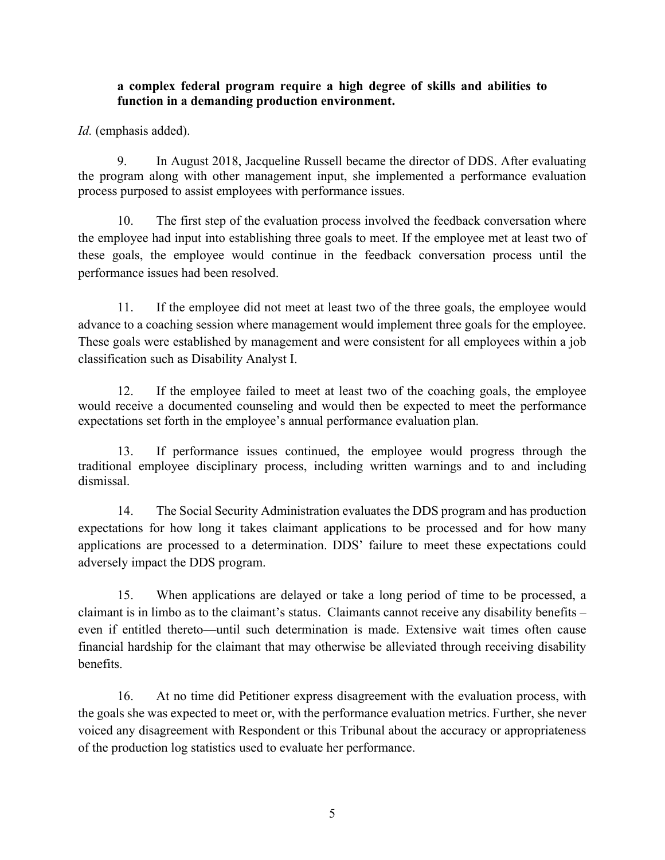# **a complex federal program require a high degree of skills and abilities to function in a demanding production environment.**

*Id.* (emphasis added).

9. In August 2018, Jacqueline Russell became the director of DDS. After evaluating the program along with other management input, she implemented a performance evaluation process purposed to assist employees with performance issues.

10. The first step of the evaluation process involved the feedback conversation where the employee had input into establishing three goals to meet. If the employee met at least two of these goals, the employee would continue in the feedback conversation process until the performance issues had been resolved.

11. If the employee did not meet at least two of the three goals, the employee would advance to a coaching session where management would implement three goals for the employee. These goals were established by management and were consistent for all employees within a job classification such as Disability Analyst I.

12. If the employee failed to meet at least two of the coaching goals, the employee would receive a documented counseling and would then be expected to meet the performance expectations set forth in the employee's annual performance evaluation plan.

13. If performance issues continued, the employee would progress through the traditional employee disciplinary process, including written warnings and to and including dismissal.

14. The Social Security Administration evaluates the DDS program and has production expectations for how long it takes claimant applications to be processed and for how many applications are processed to a determination. DDS' failure to meet these expectations could adversely impact the DDS program.

15. When applications are delayed or take a long period of time to be processed, a claimant is in limbo as to the claimant's status. Claimants cannot receive any disability benefits – even if entitled thereto—until such determination is made. Extensive wait times often cause financial hardship for the claimant that may otherwise be alleviated through receiving disability benefits.

16. At no time did Petitioner express disagreement with the evaluation process, with the goals she was expected to meet or, with the performance evaluation metrics. Further, she never voiced any disagreement with Respondent or this Tribunal about the accuracy or appropriateness of the production log statistics used to evaluate her performance.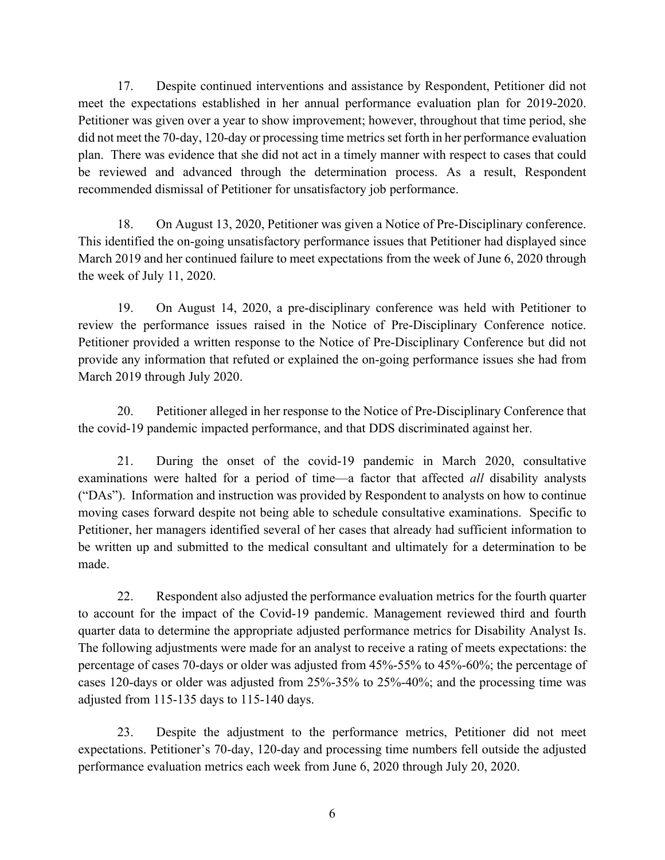17. Despite continued interventions and assistance by Respondent, Petitioner did not meet the expectations established in her annual performance evaluation plan for 2019-2020. Petitioner was given over a year to show improvement; however, throughout that time period, she did not meet the 70-day, 120-day or processing time metrics set forth in her performance evaluation plan. There was evidence that she did not act in a timely manner with respect to cases that could be reviewed and advanced through the determination process. As a result, Respondent recommended dismissal of Petitioner for unsatisfactory job performance.

18. On August 13, 2020, Petitioner was given a Notice of Pre-Disciplinary conference. This identified the on-going unsatisfactory performance issues that Petitioner had displayed since March 2019 and her continued failure to meet expectations from the week of June 6, 2020 through the week of July 11, 2020.

19. On August 14, 2020, a pre-disciplinary conference was held with Petitioner to review the performance issues raised in the Notice of Pre-Disciplinary Conference notice. Petitioner provided a written response to the Notice of Pre-Disciplinary Conference but did not provide any information that refuted or explained the on-going performance issues she had from March 2019 through July 2020.

20. Petitioner alleged in her response to the Notice of Pre-Disciplinary Conference that the covid-19 pandemic impacted performance, and that DDS discriminated against her.

21. During the onset of the covid-19 pandemic in March 2020, consultative examinations were halted for a period of time—a factor that affected *all* disability analysts ("DAs"). Information and instruction was provided by Respondent to analysts on how to continue moving cases forward despite not being able to schedule consultative examinations. Specific to Petitioner, her managers identified several of her cases that already had sufficient information to be written up and submitted to the medical consultant and ultimately for a determination to be made.

22. Respondent also adjusted the performance evaluation metrics for the fourth quarter to account for the impact of the Covid-19 pandemic. Management reviewed third and fourth quarter data to determine the appropriate adjusted performance metrics for Disability Analyst Is. The following adjustments were made for an analyst to receive a rating of meets expectations: the percentage of cases 70-days or older was adjusted from 45%-55% to 45%-60%; the percentage of cases 120-days or older was adjusted from 25%-35% to 25%-40%; and the processing time was adjusted from 115-135 days to 115-140 days.

23. Despite the adjustment to the performance metrics, Petitioner did not meet expectations. Petitioner's 70-day, 120-day and processing time numbers fell outside the adjusted performance evaluation metrics each week from June 6, 2020 through July 20, 2020.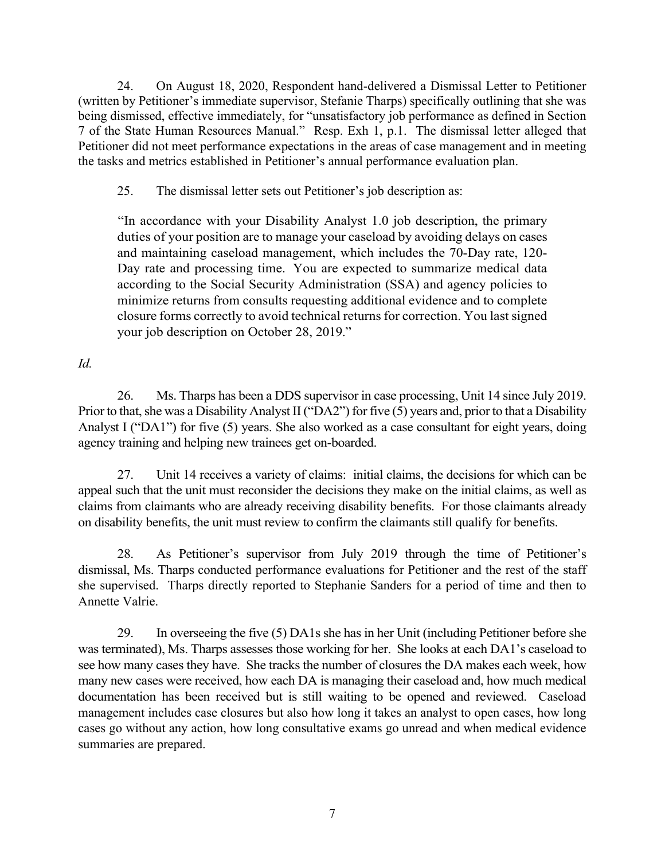24. On August 18, 2020, Respondent hand-delivered a Dismissal Letter to Petitioner (written by Petitioner's immediate supervisor, Stefanie Tharps) specifically outlining that she was being dismissed, effective immediately, for "unsatisfactory job performance as defined in Section 7 of the State Human Resources Manual." Resp. Exh 1, p.1. The dismissal letter alleged that Petitioner did not meet performance expectations in the areas of case management and in meeting the tasks and metrics established in Petitioner's annual performance evaluation plan.

25. The dismissal letter sets out Petitioner's job description as:

"In accordance with your Disability Analyst 1.0 job description, the primary duties of your position are to manage your caseload by avoiding delays on cases and maintaining caseload management, which includes the 70-Day rate, 120- Day rate and processing time. You are expected to summarize medical data according to the Social Security Administration (SSA) and agency policies to minimize returns from consults requesting additional evidence and to complete closure forms correctly to avoid technical returns for correction. You last signed your job description on October 28, 2019."

*Id.*

26. Ms. Tharps has been a DDS supervisor in case processing, Unit 14 since July 2019. Prior to that, she was a Disability Analyst II ("DA2") for five (5) years and, prior to that a Disability Analyst I ("DA1") for five (5) years. She also worked as a case consultant for eight years, doing agency training and helping new trainees get on-boarded.

27. Unit 14 receives a variety of claims: initial claims, the decisions for which can be appeal such that the unit must reconsider the decisions they make on the initial claims, as well as claims from claimants who are already receiving disability benefits. For those claimants already on disability benefits, the unit must review to confirm the claimants still qualify for benefits.

28. As Petitioner's supervisor from July 2019 through the time of Petitioner's dismissal, Ms. Tharps conducted performance evaluations for Petitioner and the rest of the staff she supervised. Tharps directly reported to Stephanie Sanders for a period of time and then to Annette Valrie.

29. In overseeing the five (5) DA1s she has in her Unit (including Petitioner before she was terminated), Ms. Tharps assesses those working for her. She looks at each DA1's caseload to see how many cases they have. She tracks the number of closures the DA makes each week, how many new cases were received, how each DA is managing their caseload and, how much medical documentation has been received but is still waiting to be opened and reviewed. Caseload management includes case closures but also how long it takes an analyst to open cases, how long cases go without any action, how long consultative exams go unread and when medical evidence summaries are prepared.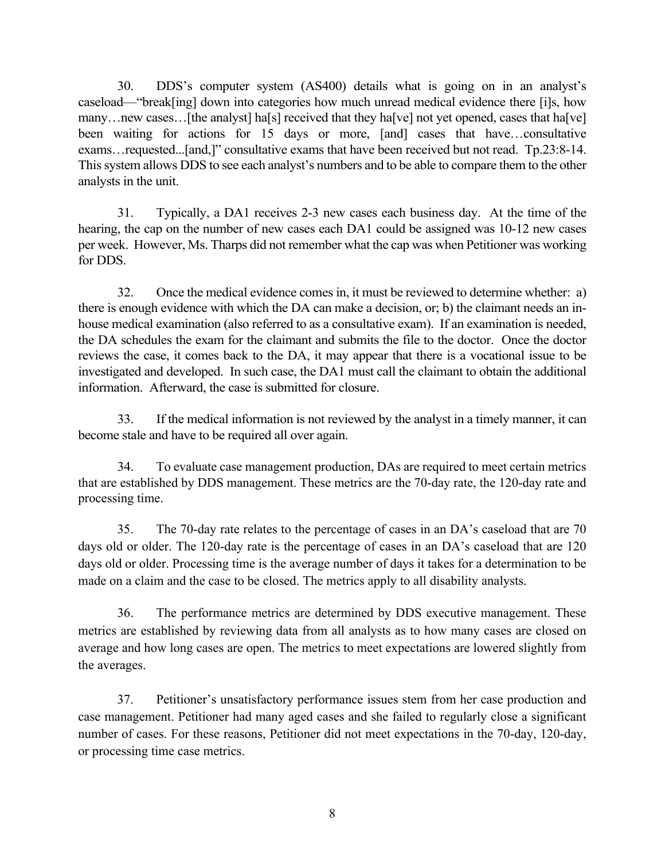30. DDS's computer system (AS400) details what is going on in an analyst's caseload—"break[ing] down into categories how much unread medical evidence there [i]s, how many…new cases…[the analyst] ha[s] received that they ha[ve] not yet opened, cases that ha[ve] been waiting for actions for 15 days or more, [and] cases that have...consultative exams…requested...[and,]" consultative exams that have been received but not read. Tp.23:8-14. This system allows DDS to see each analyst's numbers and to be able to compare them to the other analysts in the unit.

31. Typically, a DA1 receives 2-3 new cases each business day. At the time of the hearing, the cap on the number of new cases each DA1 could be assigned was 10-12 new cases per week. However, Ms. Tharps did not remember what the cap was when Petitioner was working for DDS.

32. Once the medical evidence comesin, it must be reviewed to determine whether: a) there is enough evidence with which the DA can make a decision, or; b) the claimant needs an inhouse medical examination (also referred to as a consultative exam). If an examination is needed, the DA schedules the exam for the claimant and submits the file to the doctor. Once the doctor reviews the case, it comes back to the DA, it may appear that there is a vocational issue to be investigated and developed. In such case, the DA1 must call the claimant to obtain the additional information. Afterward, the case is submitted for closure.

33. If the medical information is not reviewed by the analyst in a timely manner, it can become stale and have to be required all over again.

34. To evaluate case management production, DAs are required to meet certain metrics that are established by DDS management. These metrics are the 70-day rate, the 120-day rate and processing time.

35. The 70-day rate relates to the percentage of cases in an DA's caseload that are 70 days old or older. The 120-day rate is the percentage of cases in an DA's caseload that are 120 days old or older. Processing time is the average number of days it takes for a determination to be made on a claim and the case to be closed. The metrics apply to all disability analysts.

36. The performance metrics are determined by DDS executive management. These metrics are established by reviewing data from all analysts as to how many cases are closed on average and how long cases are open. The metrics to meet expectations are lowered slightly from the averages.

37. Petitioner's unsatisfactory performance issues stem from her case production and case management. Petitioner had many aged cases and she failed to regularly close a significant number of cases. For these reasons, Petitioner did not meet expectations in the 70-day, 120-day, or processing time case metrics.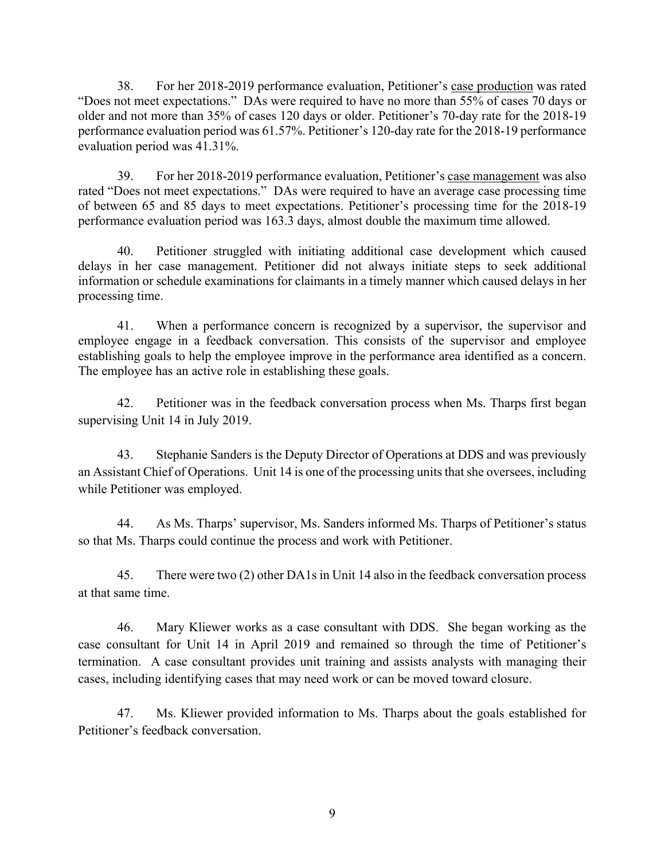38. For her 2018-2019 performance evaluation, Petitioner's case production was rated "Does not meet expectations." DAs were required to have no more than 55% of cases 70 days or older and not more than 35% of cases 120 days or older. Petitioner's 70-day rate for the 2018-19 performance evaluation period was 61.57%. Petitioner's 120-day rate for the 2018-19 performance evaluation period was 41.31%.

39. For her 2018-2019 performance evaluation, Petitioner's case management was also rated "Does not meet expectations." DAs were required to have an average case processing time of between 65 and 85 days to meet expectations. Petitioner's processing time for the 2018-19 performance evaluation period was 163.3 days, almost double the maximum time allowed.

40. Petitioner struggled with initiating additional case development which caused delays in her case management. Petitioner did not always initiate steps to seek additional information or schedule examinations for claimants in a timely manner which caused delays in her processing time.

41. When a performance concern is recognized by a supervisor, the supervisor and employee engage in a feedback conversation. This consists of the supervisor and employee establishing goals to help the employee improve in the performance area identified as a concern. The employee has an active role in establishing these goals.

42. Petitioner was in the feedback conversation process when Ms. Tharps first began supervising Unit 14 in July 2019.

43. Stephanie Sanders is the Deputy Director of Operations at DDS and was previously an Assistant Chief of Operations. Unit 14 is one of the processing units that she oversees, including while Petitioner was employed.

44. As Ms. Tharps' supervisor, Ms. Sanders informed Ms. Tharps of Petitioner's status so that Ms. Tharps could continue the process and work with Petitioner.

45. There were two (2) other DA1s in Unit 14 also in the feedback conversation process at that same time.

46. Mary Kliewer works as a case consultant with DDS. She began working as the case consultant for Unit 14 in April 2019 and remained so through the time of Petitioner's termination. A case consultant provides unit training and assists analysts with managing their cases, including identifying cases that may need work or can be moved toward closure.

47. Ms. Kliewer provided information to Ms. Tharps about the goals established for Petitioner's feedback conversation.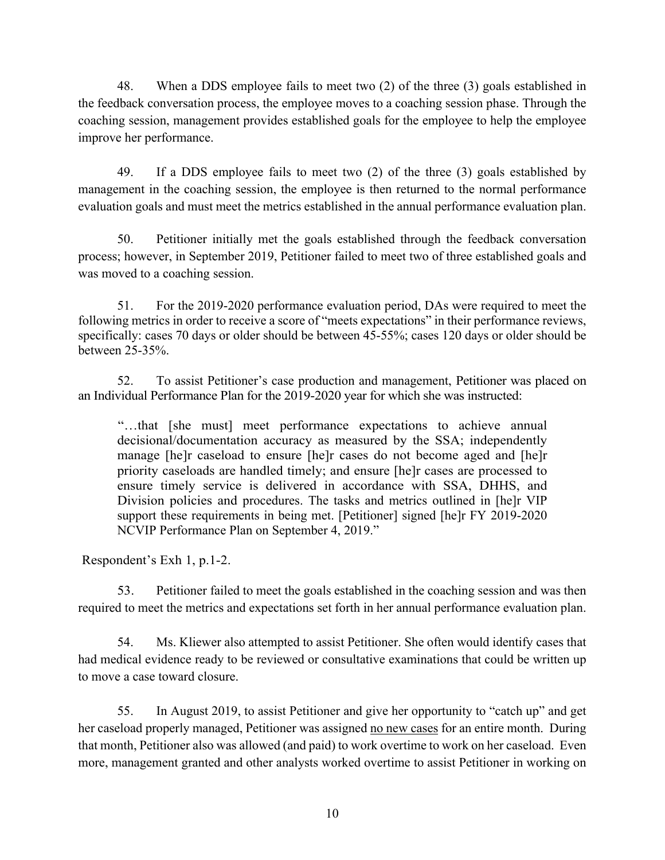48. When a DDS employee fails to meet two (2) of the three (3) goals established in the feedback conversation process, the employee moves to a coaching session phase. Through the coaching session, management provides established goals for the employee to help the employee improve her performance.

49. If a DDS employee fails to meet two (2) of the three (3) goals established by management in the coaching session, the employee is then returned to the normal performance evaluation goals and must meet the metrics established in the annual performance evaluation plan.

50. Petitioner initially met the goals established through the feedback conversation process; however, in September 2019, Petitioner failed to meet two of three established goals and was moved to a coaching session.

51. For the 2019-2020 performance evaluation period, DAs were required to meet the following metrics in order to receive a score of "meets expectations" in their performance reviews, specifically: cases 70 days or older should be between 45-55%; cases 120 days or older should be between 25-35%.

52. To assist Petitioner's case production and management, Petitioner was placed on an Individual Performance Plan for the 2019-2020 year for which she was instructed:

"…that [she must] meet performance expectations to achieve annual decisional/documentation accuracy as measured by the SSA; independently manage [he]r caseload to ensure [he]r cases do not become aged and [he]r priority caseloads are handled timely; and ensure [he]r cases are processed to ensure timely service is delivered in accordance with SSA, DHHS, and Division policies and procedures. The tasks and metrics outlined in [he]r VIP support these requirements in being met. [Petitioner] signed [he]r FY 2019-2020 NCVIP Performance Plan on September 4, 2019."

Respondent's Exh 1, p.1-2.

53. Petitioner failed to meet the goals established in the coaching session and was then required to meet the metrics and expectations set forth in her annual performance evaluation plan.

54. Ms. Kliewer also attempted to assist Petitioner. She often would identify cases that had medical evidence ready to be reviewed or consultative examinations that could be written up to move a case toward closure.

55. In August 2019, to assist Petitioner and give her opportunity to "catch up" and get her caseload properly managed, Petitioner was assigned no new cases for an entire month. During that month, Petitioner also was allowed (and paid) to work overtime to work on her caseload. Even more, management granted and other analysts worked overtime to assist Petitioner in working on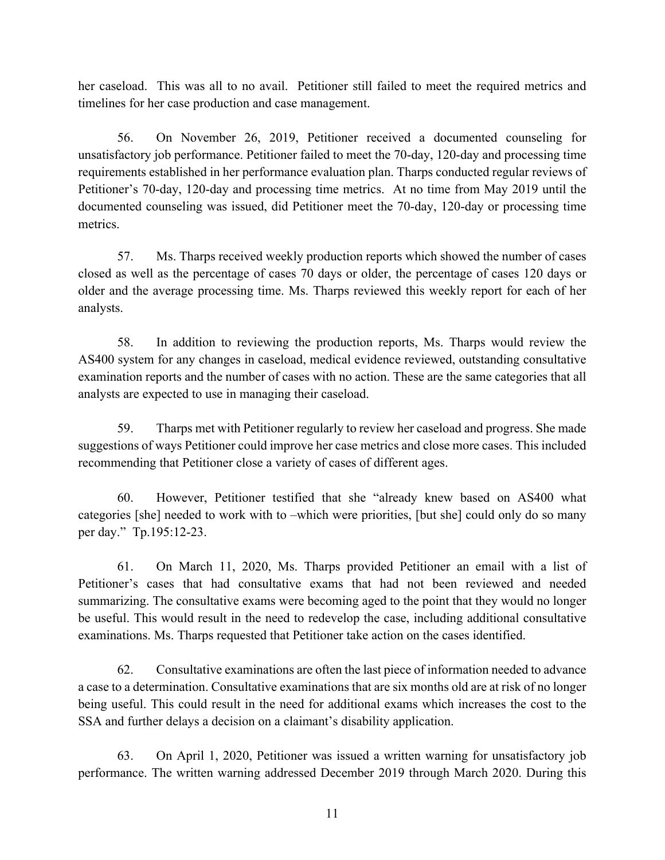her caseload. This was all to no avail. Petitioner still failed to meet the required metrics and timelines for her case production and case management.

56. On November 26, 2019, Petitioner received a documented counseling for unsatisfactory job performance. Petitioner failed to meet the 70-day, 120-day and processing time requirements established in her performance evaluation plan. Tharps conducted regular reviews of Petitioner's 70-day, 120-day and processing time metrics. At no time from May 2019 until the documented counseling was issued, did Petitioner meet the 70-day, 120-day or processing time metrics.

57. Ms. Tharps received weekly production reports which showed the number of cases closed as well as the percentage of cases 70 days or older, the percentage of cases 120 days or older and the average processing time. Ms. Tharps reviewed this weekly report for each of her analysts.

58. In addition to reviewing the production reports, Ms. Tharps would review the AS400 system for any changes in caseload, medical evidence reviewed, outstanding consultative examination reports and the number of cases with no action. These are the same categories that all analysts are expected to use in managing their caseload.

59. Tharps met with Petitioner regularly to review her caseload and progress. She made suggestions of ways Petitioner could improve her case metrics and close more cases. This included recommending that Petitioner close a variety of cases of different ages.

60. However, Petitioner testified that she "already knew based on AS400 what categories [she] needed to work with to –which were priorities, [but she] could only do so many per day." Tp.195:12-23.

61. On March 11, 2020, Ms. Tharps provided Petitioner an email with a list of Petitioner's cases that had consultative exams that had not been reviewed and needed summarizing. The consultative exams were becoming aged to the point that they would no longer be useful. This would result in the need to redevelop the case, including additional consultative examinations. Ms. Tharps requested that Petitioner take action on the cases identified.

62. Consultative examinations are often the last piece of information needed to advance a case to a determination. Consultative examinations that are six months old are at risk of no longer being useful. This could result in the need for additional exams which increases the cost to the SSA and further delays a decision on a claimant's disability application.

63. On April 1, 2020, Petitioner was issued a written warning for unsatisfactory job performance. The written warning addressed December 2019 through March 2020. During this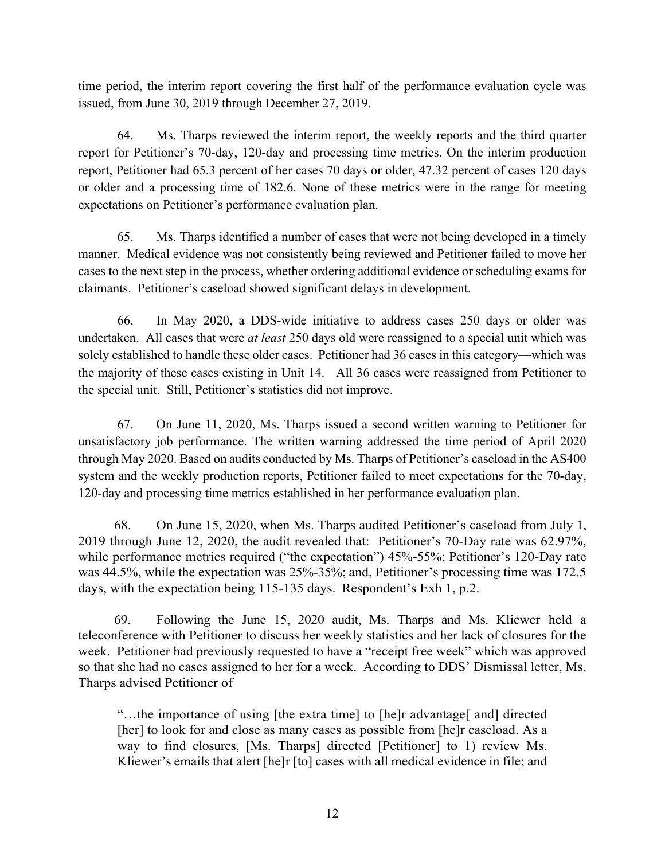time period, the interim report covering the first half of the performance evaluation cycle was issued, from June 30, 2019 through December 27, 2019.

64. Ms. Tharps reviewed the interim report, the weekly reports and the third quarter report for Petitioner's 70-day, 120-day and processing time metrics. On the interim production report, Petitioner had 65.3 percent of her cases 70 days or older, 47.32 percent of cases 120 days or older and a processing time of 182.6. None of these metrics were in the range for meeting expectations on Petitioner's performance evaluation plan.

65. Ms. Tharps identified a number of cases that were not being developed in a timely manner. Medical evidence was not consistently being reviewed and Petitioner failed to move her cases to the next step in the process, whether ordering additional evidence or scheduling exams for claimants. Petitioner's caseload showed significant delays in development.

66. In May 2020, a DDS-wide initiative to address cases 250 days or older was undertaken. All cases that were *at least* 250 days old were reassigned to a special unit which was solely established to handle these older cases. Petitioner had 36 cases in this category—which was the majority of these cases existing in Unit 14. All 36 cases were reassigned from Petitioner to the special unit. Still, Petitioner's statistics did not improve.

67. On June 11, 2020, Ms. Tharps issued a second written warning to Petitioner for unsatisfactory job performance. The written warning addressed the time period of April 2020 through May 2020. Based on audits conducted by Ms. Tharps of Petitioner's caseload in the AS400 system and the weekly production reports, Petitioner failed to meet expectations for the 70-day, 120-day and processing time metrics established in her performance evaluation plan.

68. On June 15, 2020, when Ms. Tharps audited Petitioner's caseload from July 1, 2019 through June 12, 2020, the audit revealed that: Petitioner's 70-Day rate was 62.97%, while performance metrics required ("the expectation") 45%-55%; Petitioner's 120-Day rate was 44.5%, while the expectation was 25%-35%; and, Petitioner's processing time was 172.5 days, with the expectation being 115-135 days. Respondent's Exh 1, p.2.

69. Following the June 15, 2020 audit, Ms. Tharps and Ms. Kliewer held a teleconference with Petitioner to discuss her weekly statistics and her lack of closures for the week. Petitioner had previously requested to have a "receipt free week" which was approved so that she had no cases assigned to her for a week. According to DDS' Dismissal letter, Ms. Tharps advised Petitioner of

"…the importance of using [the extra time] to [he]r advantage[ and] directed [her] to look for and close as many cases as possible from [he]r caseload. As a way to find closures, [Ms. Tharps] directed [Petitioner] to 1) review Ms. Kliewer's emails that alert [he]r [to] cases with all medical evidence in file; and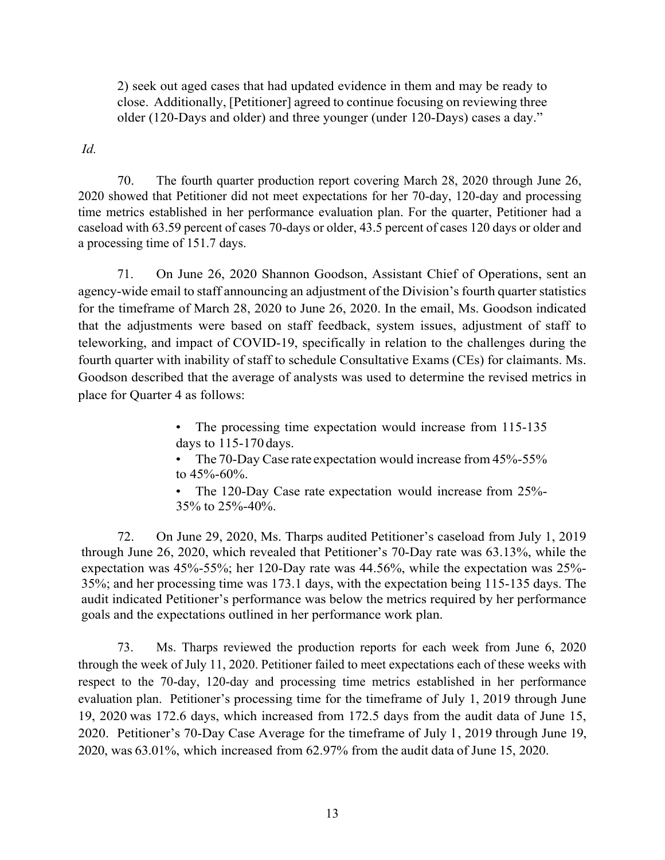2) seek out aged cases that had updated evidence in them and may be ready to close. Additionally, [Petitioner] agreed to continue focusing on reviewing three older (120-Days and older) and three younger (under 120-Days) cases a day."

*Id.*

70. The fourth quarter production report covering March 28, 2020 through June 26, 2020 showed that Petitioner did not meet expectations for her 70-day, 120-day and processing time metrics established in her performance evaluation plan. For the quarter, Petitioner had a caseload with 63.59 percent of cases 70-days or older, 43.5 percent of cases 120 days or older and a processing time of 151.7 days.

71. On June 26, 2020 Shannon Goodson, Assistant Chief of Operations, sent an agency-wide email to staff announcing an adjustment of the Division's fourth quarter statistics for the timeframe of March 28, 2020 to June 26, 2020. In the email, Ms. Goodson indicated that the adjustments were based on staff feedback, system issues, adjustment of staff to teleworking, and impact of COVID-19, specifically in relation to the challenges during the fourth quarter with inability of staff to schedule Consultative Exams (CEs) for claimants. Ms. Goodson described that the average of analysts was used to determine the revised metrics in place for Quarter 4 as follows:

> • The processing time expectation would increase from 115-135 days to 115-170days.

> • The 70-Day Case rate expectation would increase from 45%-55% to 45%-60%.

> • The 120-Day Case rate expectation would increase from 25%- 35% to 25%-40%.

72. On June 29, 2020, Ms. Tharps audited Petitioner's caseload from July 1, 2019 through June 26, 2020, which revealed that Petitioner's 70-Day rate was 63.13%, while the expectation was 45%-55%; her 120-Day rate was 44.56%, while the expectation was 25%- 35%; and her processing time was 173.1 days, with the expectation being 115-135 days. The audit indicated Petitioner's performance was below the metrics required by her performance goals and the expectations outlined in her performance work plan.

73. Ms. Tharps reviewed the production reports for each week from June 6, 2020 through the week of July 11, 2020. Petitioner failed to meet expectations each of these weeks with respect to the 70-day, 120-day and processing time metrics established in her performance evaluation plan. Petitioner's processing time for the timeframe of July 1, 2019 through June 19, 2020 was 172.6 days, which increased from 172.5 days from the audit data of June 15, 2020. Petitioner's 70-Day Case Average for the timeframe of July l , 2019 through June 19, 2020, was 63.01%, which increased from 62.97% from the audit data of June 15, 2020.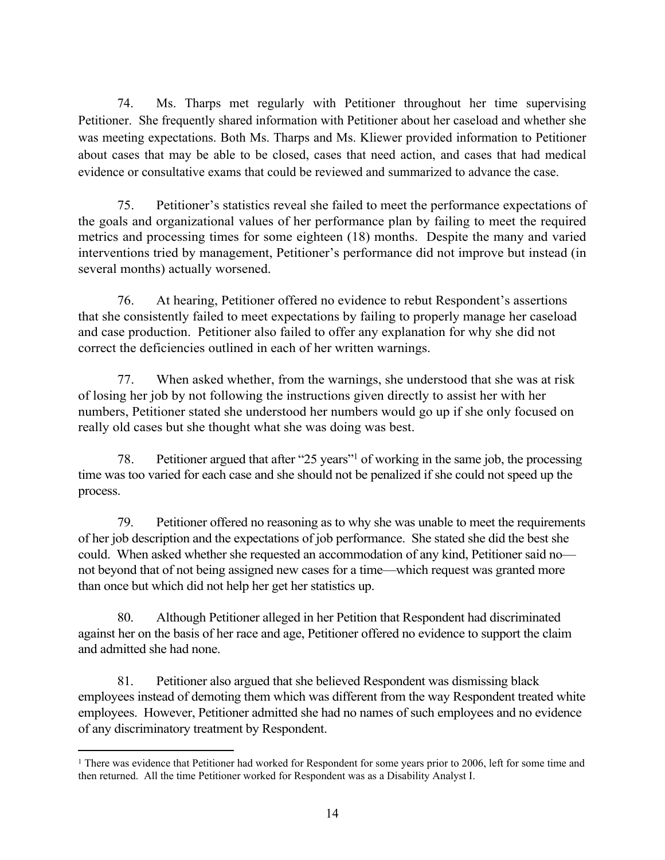74. Ms. Tharps met regularly with Petitioner throughout her time supervising Petitioner. She frequently shared information with Petitioner about her caseload and whether she was meeting expectations. Both Ms. Tharps and Ms. Kliewer provided information to Petitioner about cases that may be able to be closed, cases that need action, and cases that had medical evidence or consultative exams that could be reviewed and summarized to advance the case.

75. Petitioner's statistics reveal she failed to meet the performance expectations of the goals and organizational values of her performance plan by failing to meet the required metrics and processing times for some eighteen (18) months. Despite the many and varied interventions tried by management, Petitioner's performance did not improve but instead (in several months) actually worsened.

76. At hearing, Petitioner offered no evidence to rebut Respondent's assertions that she consistently failed to meet expectations by failing to properly manage her caseload and case production. Petitioner also failed to offer any explanation for why she did not correct the deficiencies outlined in each of her written warnings.

77. When asked whether, from the warnings, she understood that she was at risk of losing her job by not following the instructions given directly to assist her with her numbers, Petitioner stated she understood her numbers would go up if she only focused on really old cases but she thought what she was doing was best.

78. Petitioner argued that after "25 years" <sup>1</sup> of working in the same job, the processing time was too varied for each case and she should not be penalized if she could not speed up the process.

79. Petitioner offered no reasoning as to why she was unable to meet the requirements of her job description and the expectations of job performance. She stated she did the best she could. When asked whether she requested an accommodation of any kind, Petitioner said no not beyond that of not being assigned new cases for a time—which request was granted more than once but which did not help her get her statistics up.

80. Although Petitioner alleged in her Petition that Respondent had discriminated against her on the basis of her race and age, Petitioner offered no evidence to support the claim and admitted she had none.

81. Petitioner also argued that she believed Respondent was dismissing black employees instead of demoting them which was different from the way Respondent treated white employees. However, Petitioner admitted she had no names of such employees and no evidence of any discriminatory treatment by Respondent.

<sup>&</sup>lt;sup>1</sup> There was evidence that Petitioner had worked for Respondent for some years prior to 2006, left for some time and then returned. All the time Petitioner worked for Respondent was as a Disability Analyst I.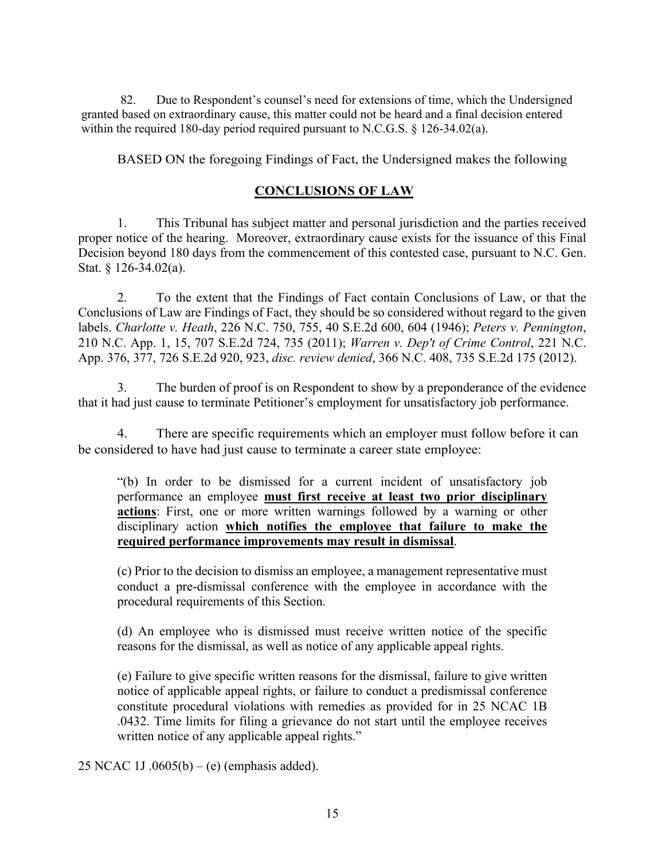82. Due to Respondent's counsel's need for extensions of time, which the Undersigned granted based on extraordinary cause, this matter could not be heard and a final decision entered within the required 180-day period required pursuant to N.C.G.S. § 126-34.02(a).

BASED ON the foregoing Findings of Fact, the Undersigned makes the following

# **CONCLUSIONS OF LAW**

1. This Tribunal has subject matter and personal jurisdiction and the parties received proper notice of the hearing. Moreover, extraordinary cause exists for the issuance of this Final Decision beyond 180 days from the commencement of this contested case, pursuant to N.C. Gen. Stat. § 126-34.02(a).

2. To the extent that the Findings of Fact contain Conclusions of Law, or that the Conclusions of Law are Findings of Fact, they should be so considered without regard to the given labels. *Charlotte v. Heath*, 226 N.C. 750, 755, 40 S.E.2d 600, 604 (1946); *Peters v. Pennington*, 210 N.C. App. 1, 15, 707 S.E.2d 724, 735 (2011); *Warren v. Dep't of Crime Control*, 221 N.C. App. 376, 377, 726 S.E.2d 920, 923, *disc. review denied*, 366 N.C. 408, 735 S.E.2d 175 (2012).

3. The burden of proof is on Respondent to show by a preponderance of the evidence that it had just cause to terminate Petitioner's employment for unsatisfactory job performance.

4. There are specific requirements which an employer must follow before it can be considered to have had just cause to terminate a career state employee:

"(b) In order to be dismissed for a current incident of unsatisfactory job performance an employee **must first receive at least two prior disciplinary actions**: First, one or more written warnings followed by a warning or other disciplinary action **which notifies the employee that failure to make the required performance improvements may result in dismissal**.

(c) Prior to the decision to dismiss an employee, a management representative must conduct a pre-dismissal conference with the employee in accordance with the procedural requirements of this Section.

(d) An employee who is dismissed must receive written notice of the specific reasons for the dismissal, as well as notice of any applicable appeal rights.

(e) Failure to give specific written reasons for the dismissal, failure to give written notice of applicable appeal rights, or failure to conduct a predismissal conference constitute procedural violations with remedies as provided for in 25 NCAC 1B .0432. Time limits for filing a grievance do not start until the employee receives written notice of any applicable appeal rights."

25 NCAC 1J .0605(b) – (e) (emphasis added).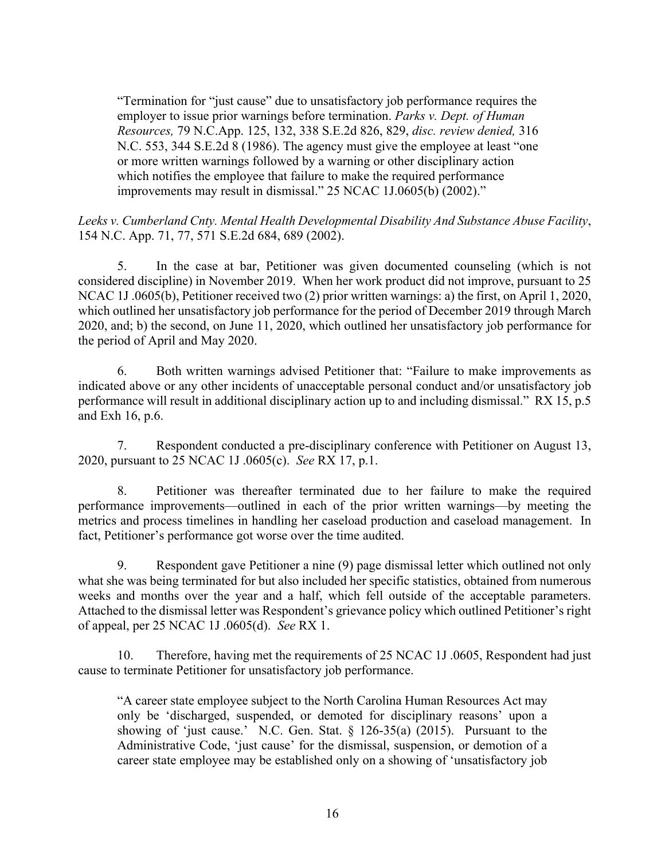"Termination for "just cause" due to unsatisfactory job performance requires the employer to issue prior warnings before termination. *Parks v. Dept. of Human Resources,* 79 N.C.App. 125, 132, 338 S.E.2d 826, 829, *disc. review denied,* 316 N.C. 553, 344 S.E.2d 8 (1986). The agency must give the employee at least "one or more written warnings followed by a warning or other disciplinary action which notifies the employee that failure to make the required performance improvements may result in dismissal." 25 NCAC 1J.0605(b) (2002)."

# *Leeks v. Cumberland Cnty. Mental Health Developmental Disability And Substance Abuse Facility*, 154 N.C. App. 71, 77, 571 S.E.2d 684, 689 (2002).

5. In the case at bar, Petitioner was given documented counseling (which is not considered discipline) in November 2019. When her work product did not improve, pursuant to 25 NCAC 1J .0605(b), Petitioner received two (2) prior written warnings: a) the first, on April 1, 2020, which outlined her unsatisfactory job performance for the period of December 2019 through March 2020, and; b) the second, on June 11, 2020, which outlined her unsatisfactory job performance for the period of April and May 2020.

6. Both written warnings advised Petitioner that: "Failure to make improvements as indicated above or any other incidents of unacceptable personal conduct and/or unsatisfactory job performance will result in additional disciplinary action up to and including dismissal." RX 15, p.5 and Exh 16, p.6.

7. Respondent conducted a pre-disciplinary conference with Petitioner on August 13, 2020, pursuant to 25 NCAC 1J .0605(c). *See* RX 17, p.1.

8. Petitioner was thereafter terminated due to her failure to make the required performance improvements—outlined in each of the prior written warnings—by meeting the metrics and process timelines in handling her caseload production and caseload management. In fact, Petitioner's performance got worse over the time audited.

9. Respondent gave Petitioner a nine (9) page dismissal letter which outlined not only what she was being terminated for but also included her specific statistics, obtained from numerous weeks and months over the year and a half, which fell outside of the acceptable parameters. Attached to the dismissal letter was Respondent's grievance policy which outlined Petitioner's right of appeal, per 25 NCAC 1J .0605(d). *See* RX 1.

10. Therefore, having met the requirements of 25 NCAC 1J .0605, Respondent had just cause to terminate Petitioner for unsatisfactory job performance.

"A career state employee subject to the North Carolina Human Resources Act may only be 'discharged, suspended, or demoted for disciplinary reasons' upon a showing of 'just cause.' N.C. Gen. Stat.  $\S$  126-35(a) (2015). Pursuant to the Administrative Code, 'just cause' for the dismissal, suspension, or demotion of a career state employee may be established only on a showing of 'unsatisfactory job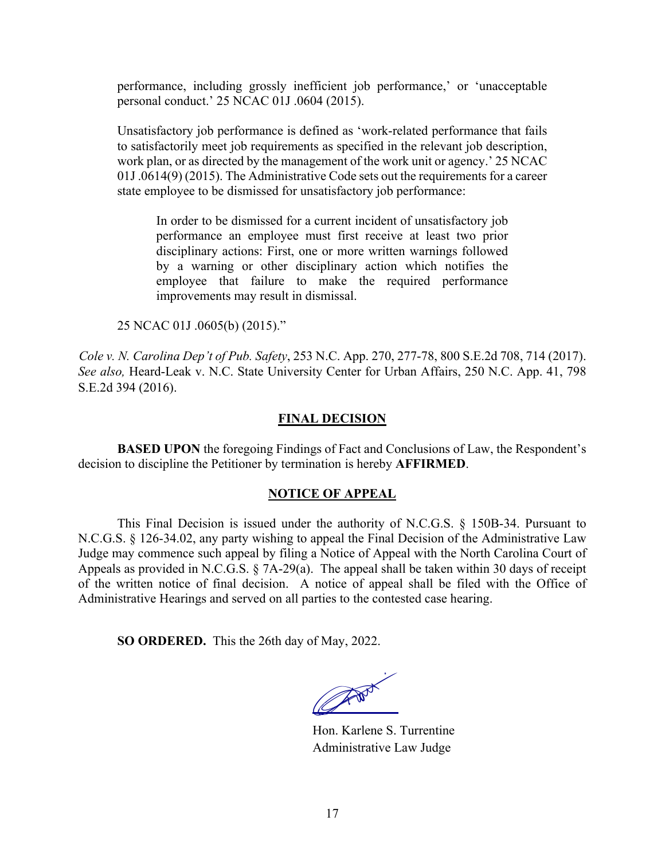performance, including grossly inefficient job performance,' or 'unacceptable personal conduct.' 25 NCAC 01J .0604 (2015).

Unsatisfactory job performance is defined as 'work-related performance that fails to satisfactorily meet job requirements as specified in the relevant job description, work plan, or as directed by the management of the work unit or agency.' 25 NCAC 01J .0614(9) (2015). The Administrative Code sets out the requirements for a career state employee to be dismissed for unsatisfactory job performance:

In order to be dismissed for a current incident of unsatisfactory job performance an employee must first receive at least two prior disciplinary actions: First, one or more written warnings followed by a warning or other disciplinary action which notifies the employee that failure to make the required performance improvements may result in dismissal.

25 NCAC 01J .0605(b) (2015)."

*Cole v. N. Carolina Dep't of Pub. Safety*, 253 N.C. App. 270, 277-78, 800 S.E.2d 708, 714 (2017). *See also,* Heard-Leak v. N.C. State University Center for Urban Affairs, 250 N.C. App. 41, 798 S.E.2d 394 (2016).

# **FINAL DECISION**

**BASED UPON** the foregoing Findings of Fact and Conclusions of Law, the Respondent's decision to discipline the Petitioner by termination is hereby **AFFIRMED**.

# **NOTICE OF APPEAL**

This Final Decision is issued under the authority of N.C.G.S. § 150B-34. Pursuant to N.C.G.S. § 126-34.02, any party wishing to appeal the Final Decision of the Administrative Law Judge may commence such appeal by filing a Notice of Appeal with the North Carolina Court of Appeals as provided in N.C.G.S. § 7A-29(a). The appeal shall be taken within 30 days of receipt of the written notice of final decision. A notice of appeal shall be filed with the Office of Administrative Hearings and served on all parties to the contested case hearing.

**SO ORDERED.** This the 26th day of May, 2022.

The Book of

Hon. Karlene S. Turrentine Administrative Law Judge